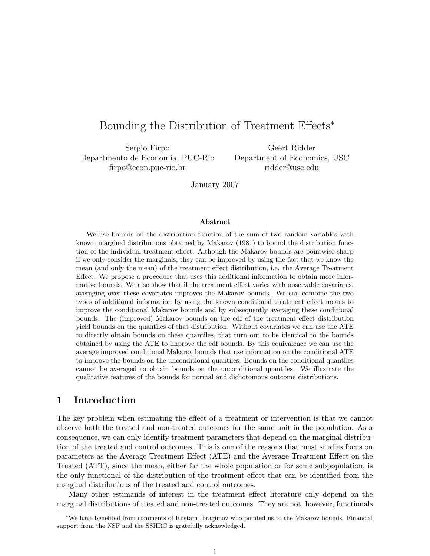# Bounding the Distribution of Treatment Effects<sup>∗</sup>

Sergio Firpo Departmento de Economia, PUC-Rio firpo@econ.puc-rio.br

Geert Ridder Department of Economics, USC ridder@usc.edu

January 2007

#### Abstract

We use bounds on the distribution function of the sum of two random variables with known marginal distributions obtained by Makarov (1981) to bound the distribution function of the individual treatment effect. Although the Makarov bounds are pointwise sharp if we only consider the marginals, they can be improved by using the fact that we know the mean (and only the mean) of the treatment effect distribution, i.e. the Average Treatment Effect. We propose a procedure that uses this additional information to obtain more informative bounds. We also show that if the treatment effect varies with observable covariates, averaging over these covariates improves the Makarov bounds. We can combine the two types of additional information by using the known conditional treatment effect means to improve the conditional Makarov bounds and by subsequently averaging these conditional bounds. The (improved) Makarov bounds on the cdf of the treatment effect distribution yield bounds on the quantiles of that distribution. Without covariates we can use the ATE to directly obtain bounds on these quantiles, that turn out to be identical to the bounds obtained by using the ATE to improve the cdf bounds. By this equivalence we can use the average improved conditional Makarov bounds that use information on the conditional ATE to improve the bounds on the unconditional quantiles. Bounds on the conditional quantiles cannot be averaged to obtain bounds on the unconditional quantiles. We illustrate the qualitative features of the bounds for normal and dichotomous outcome distributions.

## 1 Introduction

The key problem when estimating the effect of a treatment or intervention is that we cannot observe both the treated and non-treated outcomes for the same unit in the population. As a consequence, we can only identify treatment parameters that depend on the marginal distribution of the treated and control outcomes. This is one of the reasons that most studies focus on parameters as the Average Treatment Effect (ATE) and the Average Treatment Effect on the Treated (ATT), since the mean, either for the whole population or for some subpopulation, is the only functional of the distribution of the treatment effect that can be identified from the marginal distributions of the treated and control outcomes.

Many other estimands of interest in the treatment effect literature only depend on the marginal distributions of treated and non-treated outcomes. They are not, however, functionals

<sup>∗</sup>We have benefited from comments of Rustam Ibragimov who pointed us to the Makarov bounds. Financial support from the NSF and the SSHRC is gratefully acknowledged.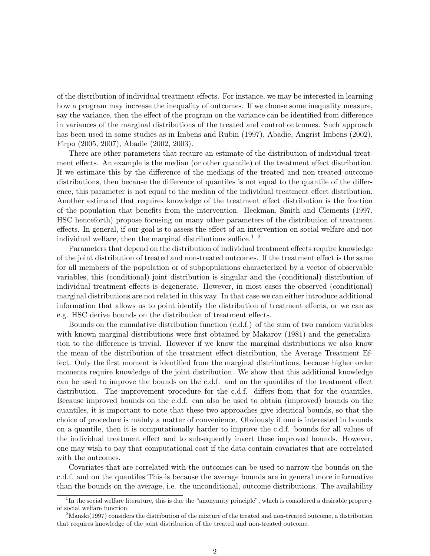of the distribution of individual treatment effects. For instance, we may be interested in learning how a program may increase the inequality of outcomes. If we choose some inequality measure, say the variance, then the effect of the program on the variance can be identified from difference in variances of the marginal distributions of the treated and control outcomes. Such approach has been used in some studies as in Imbens and Rubin (1997), Abadie, Angrist Imbens (2002), Firpo (2005, 2007), Abadie (2002, 2003).

There are other parameters that require an estimate of the distribution of individual treatment effects. An example is the median (or other quantile) of the treatment effect distribution. If we estimate this by the difference of the medians of the treated and non-treated outcome distributions, then because the difference of quantiles is not equal to the quantile of the difference, this parameter is not equal to the median of the individual treatment effect distribution. Another estimand that requires knowledge of the treatment effect distribution is the fraction of the population that benefits from the intervention. Heckman, Smith and Clements (1997, HSC henceforth) propose focusing on many other parameters of the distribution of treatment effects. In general, if our goal is to assess the effect of an intervention on social welfare and not individual welfare, then the marginal distributions suffice.<sup>1</sup> <sup>2</sup>

Parameters that depend on the distribution of individual treatment effects require knowledge of the joint distribution of treated and non-treated outcomes. If the treatment effect is the same for all members of the population or of subpopulations characterized by a vector of observable variables, this (conditional) joint distribution is singular and the (conditional) distribution of individual treatment effects is degenerate. However, in most cases the observed (conditional) marginal distributions are not related in this way. In that case we can either introduce additional information that allows us to point identify the distribution of treatment effects, or we can as e.g. HSC derive bounds on the distribution of treatment effects.

Bounds on the cumulative distribution function (c.d.f.) of the sum of two random variables with known marginal distributions were first obtained by Makarov (1981) and the generalization to the difference is trivial. However if we know the marginal distributions we also know the mean of the distribution of the treatment effect distribution, the Average Treatment Effect. Only the first moment is identified from the marginal distributions, because higher order moments require knowledge of the joint distribution. We show that this additional knowledge can be used to improve the bounds on the c.d.f. and on the quantiles of the treatment effect distribution. The improvement procedure for the c.d.f. differs from that for the quantiles. Because improved bounds on the c.d.f. can also be used to obtain (improved) bounds on the quantiles, it is important to note that these two approaches give identical bounds, so that the choice of procedure is mainly a matter of convenience. Obviously if one is interested in bounds on a quantile, then it is computationally harder to improve the c.d.f. bounds for all values of the individual treatment effect and to subsequently invert these improved bounds. However, one may wish to pay that computational cost if the data contain covariates that are correlated with the outcomes.

Covariates that are correlated with the outcomes can be used to narrow the bounds on the c.d.f. and on the quantiles This is because the average bounds are in general more informative than the bounds on the average, i.e. the unconditional, outcome distributions. The availability

<sup>&</sup>lt;sup>1</sup>In the social welfare literature, this is due the "anonymity principle", which is considered a desirable property of social welfare function.

 $2<sup>2</sup>$ Manski(1997) considers the distribution of the mixture of the treated and non-treated outcome, a distribution that requires knowledge of the joint distribution of the treated and non-treated outcome.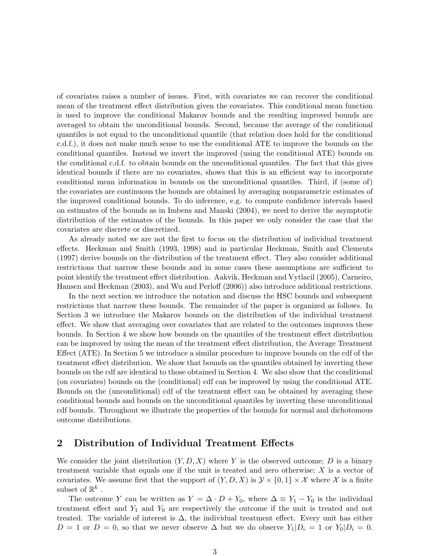of covariates raises a number of issues. First, with covariates we can recover the conditional mean of the treatment effect distribution given the covariates. This conditional mean function is used to improve the conditional Makarov bounds and the resulting improved bounds are averaged to obtain the unconditional bounds. Second, because the average of the conditional quantiles is not equal to the unconditional quantile (that relation does hold for the conditional c.d.f.), it does not make much sense to use the conditional ATE to improve the bounds on the conditional quantiles. Instead we invert the improved (using the conditional ATE) bounds on the conditional c.d.f. to obtain bounds on the unconditional quantiles. The fact that this gives identical bounds if there are no covariates, shows that this is an efficient way to incorporate conditional mean information in bounds on the unconditional quantiles. Third, if (some of) the covariates are continuous the bounds are obtained by averaging nonparametric estimates of the improved conditional bounds. To do inference, e.g. to compute confidence intervals based on estimates of the bounds as in Imbens and Manski (2004), we need to derive the asymptotic distribution of the estimates of the bounds. In this paper we only consider the case that the covariates are discrete or discretized.

As already noted we are not the first to focus on the distribution of individual treatment effects. Heckman and Smith (1993, 1998) and in particular Heckman, Smith and Clements (1997) derive bounds on the distribution of the treatment effect. They also consider additional restrictions that narrow these bounds and in some cases these assumptions are sufficient to point identify the treatment effect distribution. Aakvik, Heckman and Vytlacil (2005), Carneiro, Hansen and Heckman (2003), and Wu and Perloff (2006)) also introduce additional restrictions.

In the next section we introduce the notation and discuss the HSC bounds and subsequent restrictions that narrow these bounds. The remainder of the paper is organized as follows. In Section 3 we introduce the Makarov bounds on the distribution of the individual treatment effect. We show that averaging over covariates that are related to the outcomes improves these bounds. In Section 4 we show how bounds on the quantiles of the treatment effect distribution can be improved by using the mean of the treatment effect distribution, the Average Treatment Effect (ATE). In Section 5 we introduce a similar procedure to improve bounds on the cdf of the treatment effect distribution. We show that bounds on the quantiles obtained by inverting these bounds on the cdf are identical to those obtained in Section 4. We also show that the conditional (on covariates) bounds on the (conditional) cdf can be improved by using the conditional ATE. Bounds on the (unconditional) cdf of the treatment effect can be obtained by averaging these conditional bounds and bounds on the unconditional quantiles by inverting these unconditional cdf bounds. Throughout we illustrate the properties of the bounds for normal and dichotomous outcome distributions.

## 2 Distribution of Individual Treatment Effects

We consider the joint distribution  $(Y, D, X)$  where Y is the observed outcome; D is a binary treatment variable that equals one if the unit is treated and zero otherwise; X is a vector of covariates. We assume first that the support of  $(Y, D, X)$  is  $Y \times \{0, 1\} \times \mathcal{X}$  where X is a finite subset of  $\mathbb{R}^k$ .

The outcome Y can be written as  $Y = \Delta \cdot D + Y_0$ , where  $\Delta \equiv Y_1 - Y_0$  is the individual treatment effect and  $Y_1$  and  $Y_0$  are respectively the outcome if the unit is treated and not treated. The variable of interest is  $\Delta$ , the individual treatment effect. Every unit has either  $D = 1$  or  $D = 0$ , so that we never observe  $\Delta$  but we do observe  $Y_1|D_i = 1$  or  $Y_0|D_i = 0$ .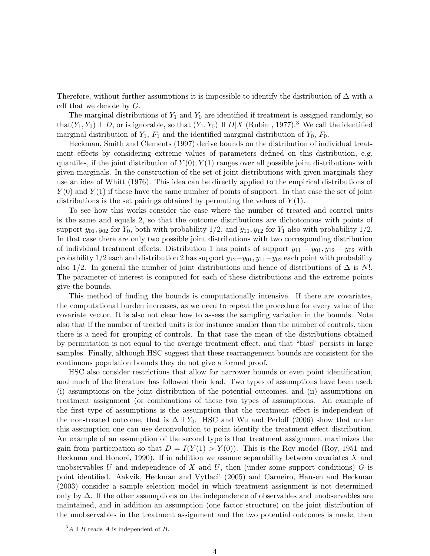Therefore, without further assumptions it is impossible to identify the distribution of  $\Delta$  with a cdf that we denote by  $G$ .

The marginal distributions of  $Y_1$  and  $Y_0$  are identified if treatment is assigned randomly, so that(Y<sub>1</sub>, Y<sub>0</sub>)  $\perp D$ , or is ignorable, so that  $(Y_1, Y_0) \perp D|X$  (Rubin, 1977).<sup>3</sup> We call the identified marginal distribution of  $Y_1$ ,  $F_1$  and the identified marginal distribution of  $Y_0$ ,  $F_0$ .

Heckman, Smith and Clements (1997) derive bounds on the distribution of individual treatment effects by considering extreme values of parameters defined on this distribution, e.g. quantiles, if the joint distribution of  $Y(0), Y(1)$  ranges over all possible joint distributions with given marginals. In the construction of the set of joint distributions with given marginals they use an idea of Whitt (1976). This idea can be directly applied to the empirical distributions of  $Y(0)$  and  $Y(1)$  if these have the same number of points of support. In that case the set of joint distributions is the set pairings obtained by permuting the values of  $Y(1)$ .

To see how this works consider the case where the number of treated and control units is the same and equals 2, so that the outcome distributions are dichotomous with points of support  $y_{01}, y_{02}$  for  $Y_0$ , both with probability  $1/2$ , and  $y_{11}, y_{12}$  for  $Y_1$  also with probability  $1/2$ . In that case there are only two possible joint distributions with two corresponding distribution of individual treatment effects: Distribution 1 has points of support  $y_{11} - y_{01}, y_{12} - y_{02}$  with probability 1/2 each and distribution 2 has support  $y_{12}-y_{01}$ ,  $y_{11}-y_{02}$  each point with probability also 1/2. In general the number of joint distributions and hence of distributions of  $\Delta$  is N!. The parameter of interest is computed for each of these distributions and the extreme points give the bounds.

This method of finding the bounds is computationally intensive. If there are covariates, the computational burden increases, as we need to repeat the procedure for every value of the covariate vector. It is also not clear how to assess the sampling variation in the bounds. Note also that if the number of treated units is for instance smaller than the number of controls, then there is a need for grouping of controls. In that case the mean of the distributions obtained by permutation is not equal to the average treatment effect, and that "bias" persists in large samples. Finally, although HSC suggest that these rearrangement bounds are consistent for the continuous population bounds they do not give a formal proof.

HSC also consider restrictions that allow for narrower bounds or even point identification, and much of the literature has followed their lead. Two types of assumptions have been used: (i) assumptions on the joint distribution of the potential outcomes, and (ii) assumptions on treatment assignment (or combinations of these two types of assumptions. An example of the first type of assumptions is the assumption that the treatment effect is independent of the non-treated outcome, that is  $\Delta \perp \!\!\!\perp Y_0$ . HSC and Wu and Perloff (2006) show that under this assumption one can use deconvolution to point identify the treatment effect distribution. An example of an assumption of the second type is that treatment assignment maximizes the gain from participation so that  $D = I(Y(1) > Y(0))$ . This is the Roy model (Roy, 1951 and Heckman and Honoré, 1990). If in addition we assume separability between covariates  $X$  and unobservables U and independence of X and U, then (under some support conditions) G is point identified. Aakvik, Heckman and Vytlacil (2005) and Carneiro, Hansen and Heckman (2003) consider a sample selection model in which treatment assignment is not determined only by  $\Delta$ . If the other assumptions on the independence of observables and unobservables are maintained, and in addition an assumption (one factor structure) on the joint distribution of the unobservables in the treatment assignment and the two potential outcomes is made, then

 $^3A \perp \!\!\! \perp B$  reads A is independent of B.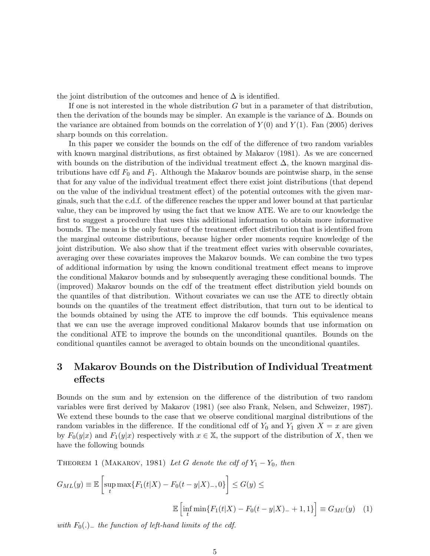the joint distribution of the outcomes and hence of  $\Delta$  is identified.

If one is not interested in the whole distribution G but in a parameter of that distribution, then the derivation of the bounds may be simpler. An example is the variance of  $\Delta$ . Bounds on the variance are obtained from bounds on the correlation of  $Y(0)$  and  $Y(1)$ . Fan (2005) derives sharp bounds on this correlation.

In this paper we consider the bounds on the cdf of the difference of two random variables with known marginal distributions, as first obtained by Makarov (1981). As we are concerned with bounds on the distribution of the individual treatment effect  $\Delta$ , the known marginal distributions have cdf  $F_0$  and  $F_1$ . Although the Makarov bounds are pointwise sharp, in the sense that for any value of the individual treatment effect there exist joint distributions (that depend on the value of the individual treatment effect) of the potential outcomes with the given marginals, such that the c.d.f. of the difference reaches the upper and lower bound at that particular value, they can be improved by using the fact that we know ATE. We are to our knowledge the first to suggest a procedure that uses this additional information to obtain more informative bounds. The mean is the only feature of the treatment effect distribution that is identified from the marginal outcome distributions, because higher order moments require knowledge of the joint distribution. We also show that if the treatment effect varies with observable covariates, averaging over these covariates improves the Makarov bounds. We can combine the two types of additional information by using the known conditional treatment effect means to improve the conditional Makarov bounds and by subsequently averaging these conditional bounds. The (improved) Makarov bounds on the cdf of the treatment effect distribution yield bounds on the quantiles of that distribution. Without covariates we can use the ATE to directly obtain bounds on the quantiles of the treatment effect distribution, that turn out to be identical to the bounds obtained by using the ATE to improve the cdf bounds. This equivalence means that we can use the average improved conditional Makarov bounds that use information on the conditional ATE to improve the bounds on the unconditional quantiles. Bounds on the conditional quantiles cannot be averaged to obtain bounds on the unconditional quantiles.

## 3 Makarov Bounds on the Distribution of Individual Treatment effects

Bounds on the sum and by extension on the difference of the distribution of two random variables were first derived by Makarov (1981) (see also Frank, Nelsen, and Schweizer, 1987). We extend these bounds to the case that we observe conditional marginal distributions of the random variables in the difference. If the conditional cdf of  $Y_0$  and  $Y_1$  given  $X = x$  are given by  $F_0(y|x)$  and  $F_1(y|x)$  respectively with  $x \in \mathbb{X}$ , the support of the distribution of X, then we have the following bounds

THEOREM 1 (MAKAROV, 1981) Let G denote the cdf of  $Y_1 - Y_0$ , then

$$
G_{ML}(y) \equiv \mathbb{E}\left[\sup_{t} \max\{F_1(t|X) - F_0(t-y|X)_{-}, 0\}\right] \le G(y) \le
$$

$$
\mathbb{E}\left[\inf_{t} \min\{F_1(t|X) - F_0(t-y|X)_{-} + 1, 1\}\right] \equiv G_{MU}(y) \quad (1)
$$

with  $F_0(.)$  the function of left-hand limits of the cdf.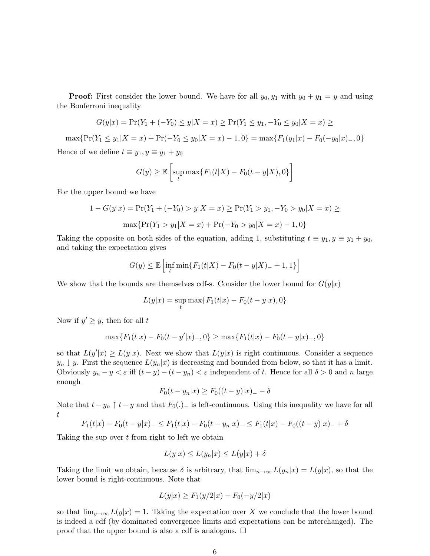**Proof:** First consider the lower bound. We have for all  $y_0, y_1$  with  $y_0 + y_1 = y$  and using the Bonferroni inequality

$$
G(y|x) = \Pr(Y_1 + (-Y_0) \le y | X = x) \ge \Pr(Y_1 \le y_1, -Y_0 \le y_0 | X = x) \ge
$$

 $\max\{\Pr(Y_1 \leq y_1 | X = x) + \Pr(-Y_0 \leq y_0 | X = x) - 1, 0\} = \max\{F_1(y_1 | x) - F_0(-y_0 | x) - 0\}$ Hence of we define  $t \equiv y_1, y \equiv y_1 + y_0$ 

$$
G(y) \ge \mathbb{E}\left[\sup_t \max\{F_1(t|X) - F_0(t-y|X), 0\}\right]
$$

For the upper bound we have

$$
1 - G(y|x) = \Pr(Y_1 + (-Y_0) > y | X = x) \ge \Pr(Y_1 > y_1, -Y_0 > y_0 | X = x) \ge
$$
\n
$$
\max \{ \Pr(Y_1 > y_1 | X = x) + \Pr(-Y_0 > y_0 | X = x) - 1, 0 \}
$$

Taking the opposite on both sides of the equation, adding 1, substituting  $t \equiv y_1, y \equiv y_1 + y_0$ , and taking the expectation gives

$$
G(y) \le \mathbb{E}\left[\inf_{t} \min\{F_1(t|X) - F_0(t-y|X) - +1, 1\}\right]
$$

We show that the bounds are themselves cdf-s. Consider the lower bound for  $G(y|x)$ 

$$
L(y|x) = \sup_{t} \max\{F_1(t|x) - F_0(t - y|x), 0\}
$$

Now if  $y' \geq y$ , then for all t

$$
\max\{F_1(t|x) - F_0(t - y'|x)_-, 0\} \ge \max\{F_1(t|x) - F_0(t - y|x)_-, 0\}
$$

so that  $L(y'|x) \ge L(y|x)$ . Next we show that  $L(y|x)$  is right continuous. Consider a sequence  $y_n \downarrow y$ . First the sequence  $L(y_n|x)$  is decreasing and bounded from below, so that it has a limit. Obviously  $y_n - y < \varepsilon$  iff  $(t - y) - (t - y_n) < \varepsilon$  independent of t. Hence for all  $\delta > 0$  and n large enough

$$
F_0(t - y_n|x) \ge F_0((t - y)|x) = -\delta
$$

Note that  $t - y_n \uparrow t - y$  and that  $F_0(.)$  is left-continuous. Using this inequality we have for all t

$$
F_1(t|x) - F_0(t - y|x) = F_1(t|x) - F_0(t - y_n|x) = F_1(t|x) - F_0((t - y)|x) = +\delta
$$

Taking the sup over  $t$  from right to left we obtain

$$
L(y|x) \le L(y_n|x) \le L(y|x) + \delta
$$

Taking the limit we obtain, because  $\delta$  is arbitrary, that  $\lim_{n\to\infty} L(y_n|x) = L(y|x)$ , so that the lower bound is right-continuous. Note that

$$
L(y|x) \ge F_1(y/2|x) - F_0(-y/2|x)
$$

so that  $\lim_{y\to\infty} L(y|x) = 1$ . Taking the expectation over X we conclude that the lower bound is indeed a cdf (by dominated convergence limits and expectations can be interchanged). The proof that the upper bound is also a cdf is analogous.  $\Box$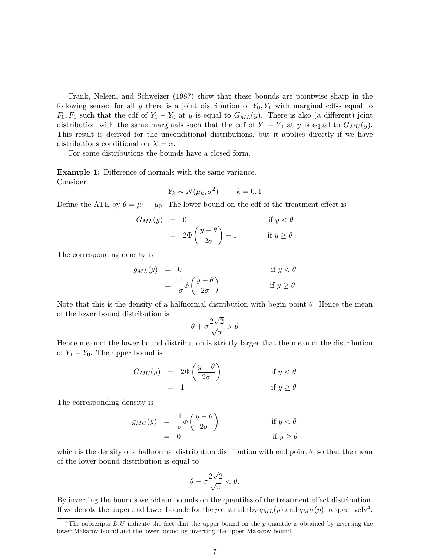Frank, Nelsen, and Schweizer (1987) show that these bounds are pointwise sharp in the following sense: for all y there is a joint distribution of  $Y_0, Y_1$  with marginal cdf-s equal to  $F_0, F_1$  such that the cdf of  $Y_1 - Y_0$  at y is equal to  $G_{ML}(y)$ . There is also (a different) joint distribution with the same marginals such that the cdf of  $Y_1 - Y_0$  at y is equal to  $G_{MU}(y)$ . This result is derived for the unconditional distributions, but it applies directly if we have distributions conditional on  $X = x$ .

For some distributions the bounds have a closed form.

Example 1: Difference of normals with the same variance. Consider

$$
Y_k \sim N(\mu_k, \sigma^2) \qquad k = 0, 1
$$

Define the ATE by  $\theta = \mu_1 - \mu_0$ . The lower bound on the cdf of the treatment effect is

$$
G_{ML}(y) = 0 \qquad \text{if } y < \theta
$$
  
=  $2\Phi\left(\frac{y-\theta}{2\sigma}\right) - 1 \qquad \text{if } y \ge \theta$ 

The corresponding density is

$$
g_{ML}(y) = 0 \qquad \text{if } y < \theta
$$

$$
= \frac{1}{\sigma} \phi \left( \frac{y - \theta}{2\sigma} \right) \qquad \text{if } y \ge \theta
$$

Note that this is the density of a halfnormal distribution with begin point  $\theta$ . Hence the mean of the lower bound distribution is √

$$
\theta+\sigma\frac{2\sqrt{2}}{\sqrt{\pi}}>\theta
$$

Hence mean of the lower bound distribution is strictly larger that the mean of the distribution of  $Y_1 - Y_0$ . The upper bound is

$$
G_{MU}(y) = 2\Phi\left(\frac{y-\theta}{2\sigma}\right) \qquad \text{if } y < \theta
$$

$$
= 1 \qquad \qquad \text{if } y \ge \theta
$$

The corresponding density is

$$
g_{MU}(y) = \frac{1}{\sigma} \phi \left( \frac{y - \theta}{2\sigma} \right) \qquad \text{if } y < \theta
$$

$$
= 0 \qquad \text{if } y \ge \theta
$$

which is the density of a halfnormal distribution distribution with end point  $\theta$ , so that the mean of the lower bound distribution is equal to

$$
\theta - \sigma \frac{2\sqrt{2}}{\sqrt{\pi}} < \theta.
$$

By inverting the bounds we obtain bounds on the quantiles of the treatment effect distribution. If we denote the upper and lower bounds for the p quantile by  $q_{ML}(p)$  and  $q_{MU}(p)$ , respectively<sup>4</sup>,

<sup>&</sup>lt;sup>4</sup>The subscripts  $L, U$  indicate the fact that the upper bound on the p quantile is obtained by inverting the lower Makarov bound and the lower bound by inverting the upper Makarov bound.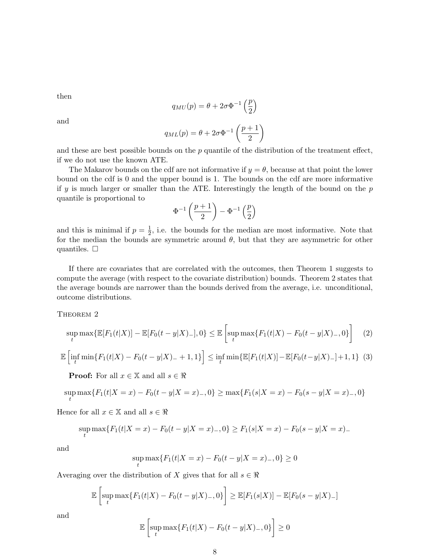then

$$
q_{MU}(p) = \theta + 2\sigma \Phi^{-1}\left(\frac{p}{2}\right)
$$

and

$$
q_{ML}(p) = \theta + 2\sigma \Phi^{-1}\left(\frac{p+1}{2}\right)
$$

and these are best possible bounds on the  $p$  quantile of the distribution of the treatment effect, if we do not use the known ATE.

The Makarov bounds on the cdf are not informative if  $y = \theta$ , because at that point the lower bound on the cdf is 0 and the upper bound is 1. The bounds on the cdf are more informative if  $y$  is much larger or smaller than the ATE. Interestingly the length of the bound on the  $p$ quantile is proportional to

$$
\Phi^{-1}\left(\frac{p+1}{2}\right)-\Phi^{-1}\left(\frac{p}{2}\right)
$$

and this is minimal if  $p=\frac{1}{2}$  $\frac{1}{2}$ , i.e. the bounds for the median are most informative. Note that for the median the bounds are symmetric around  $\theta$ , but that they are asymmetric for other quantiles.  $\square$ 

If there are covariates that are correlated with the outcomes, then Theorem 1 suggests to compute the average (with respect to the covariate distribution) bounds. Theorem 2 states that the average bounds are narrower than the bounds derived from the average, i.e. unconditional, outcome distributions.

THEOREM 2

$$
\sup_{t} \max \{ \mathbb{E}[F_1(t|X)] - \mathbb{E}[F_0(t-y|X)] \}, 0 \} \le \mathbb{E}\left[\sup_{t} \max \{ F_1(t|X) - F_0(t-y|X) \}, 0 \} \right] \tag{2}
$$

$$
\mathbb{E}\left[\inf_{t} \min\{F_1(t|X) - F_0(t-y|X) - +1, 1\}\right] \leq \inf_{t} \min\{\mathbb{E}[F_1(t|X)] - \mathbb{E}[F_0(t-y|X) - +1, 1\} \tag{3}
$$

**Proof:** For all  $x \in \mathbb{X}$  and all  $s \in \mathbb{R}$ 

$$
\sup_{t} \max \{ F_1(t|X=x) - F_0(t-y|X=x) \}, 0 \} \ge \max \{ F_1(s|X=x) - F_0(s-y|X=x) \}, 0 \}
$$

Hence for all  $x \in \mathbb{X}$  and all  $s \in \Re$ 

$$
\sup_{t} \max \{ F_1(t|X=x) - F_0(t-y|X=x) \}, 0 \} \ge F_1(s|X=x) - F_0(s-y|X=x) -
$$

and

$$
\sup_{t} \max\{F_1(t|X=x) - F_0(t-y|X=x) \}, 0 \ge 0
$$

Averaging over the distribution of X gives that for all  $s \in \Re$ 

$$
\mathbb{E}\left[\sup_t \max\{F_1(t|X) - F_0(t-y|X)_{-},0\}\right] \geq \mathbb{E}[F_1(s|X)] - \mathbb{E}[F_0(s-y|X)_{-}]
$$

and

$$
\mathbb{E}\left[\sup_{t}\max\{F_1(t|X)-F_0(t-y|X)_-,0\}\right]\geq 0
$$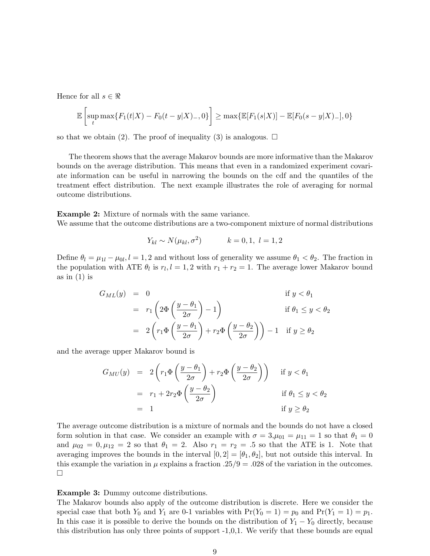Hence for all  $s \in \Re$ 

$$
\mathbb{E}\left[\sup_{t}\max\{F_{1}(t|X)-F_{0}(t-y|X)_{-},0\}\right]\geq\max\{\mathbb{E}[F_{1}(s|X)]-\mathbb{E}[F_{0}(s-y|X)_{-}],0\}
$$

so that we obtain (2). The proof of inequality (3) is analogous.  $\Box$ 

The theorem shows that the average Makarov bounds are more informative than the Makarov bounds on the average distribution. This means that even in a randomized experiment covariate information can be useful in narrowing the bounds on the cdf and the quantiles of the treatment effect distribution. The next example illustrates the role of averaging for normal outcome distributions.

Example 2: Mixture of normals with the same variance.

We assume that the outcome distributions are a two-component mixture of normal distributions

$$
Y_{kl} \sim N(\mu_{kl}, \sigma^2)
$$
  $k = 0, 1, l = 1, 2$ 

Define  $\theta_l = \mu_{1l} - \mu_{0l}$ ,  $l = 1, 2$  and without loss of generality we assume  $\theta_1 < \theta_2$ . The fraction in the population with ATE  $\theta_l$  is  $r_l, l = 1, 2$  with  $r_1 + r_2 = 1$ . The average lower Makarov bound as in  $(1)$  is

$$
G_{ML}(y) = 0
$$
  
\n
$$
= r_1 \left( 2\Phi \left( \frac{y - \theta_1}{2\sigma} \right) - 1 \right)
$$
  
\n
$$
= 2 \left( r_1 \Phi \left( \frac{y - \theta_1}{2\sigma} \right) + r_2 \Phi \left( \frac{y - \theta_2}{2\sigma} \right) \right) - 1
$$
 if  $y \ge \theta_2$ 

and the average upper Makarov bound is

$$
G_{MU}(y) = 2\left(r_1\Phi\left(\frac{y-\theta_1}{2\sigma}\right) + r_2\Phi\left(\frac{y-\theta_2}{2\sigma}\right)\right) \quad \text{if } y < \theta_1
$$

$$
= r_1 + 2r_2\Phi\left(\frac{y-\theta_2}{2\sigma}\right) \quad \text{if } \theta_1 \le y < \theta_2
$$

$$
= 1 \quad \text{if } y \ge \theta_2
$$

The average outcome distribution is a mixture of normals and the bounds do not have a closed form solution in that case. We consider an example with  $\sigma = 3, \mu_{01} = \mu_{11} = 1$  so that  $\theta_1 = 0$ and  $\mu_{02} = 0, \mu_{12} = 2$  so that  $\theta_1 = 2$ . Also  $r_1 = r_2 = .5$  so that the ATE is 1. Note that averaging improves the bounds in the interval  $[0, 2] = [\theta_1, \theta_2]$ , but not outside this interval. In this example the variation in  $\mu$  explains a fraction .25/9 = .028 of the variation in the outcomes.  $\Box$ 

### Example 3: Dummy outcome distributions.

The Makarov bounds also apply of the outcome distribution is discrete. Here we consider the special case that both  $Y_0$  and  $Y_1$  are 0-1 variables with  $Pr(Y_0 = 1) = p_0$  and  $Pr(Y_1 = 1) = p_1$ . In this case it is possible to derive the bounds on the distribution of  $Y_1 - Y_0$  directly, because this distribution has only three points of support -1,0,1. We verify that these bounds are equal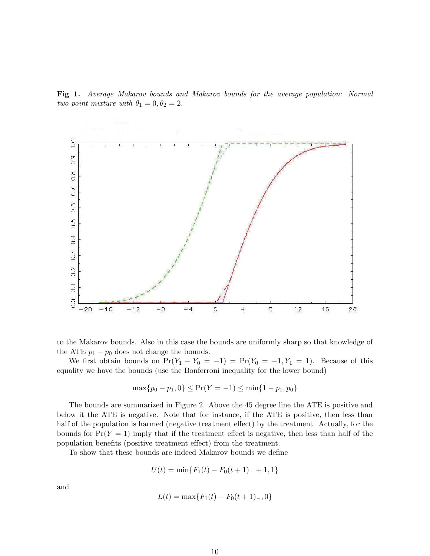Fig 1. Average Makarov bounds and Makarov bounds for the average population: Normal two-point mixture with  $\theta_1 = 0, \theta_2 = 2$ .



to the Makarov bounds. Also in this case the bounds are uniformly sharp so that knowledge of the ATE  $p_1 - p_0$  does not change the bounds.

We first obtain bounds on  $Pr(Y_1 - Y_0 = -1) = Pr(Y_0 = -1, Y_1 = 1)$ . Because of this equality we have the bounds (use the Bonferroni inequality for the lower bound)

$$
\max\{p_0 - p_1, 0\} \le \Pr(Y = -1) \le \min\{1 - p_1, p_0\}
$$

The bounds are summarized in Figure 2. Above the 45 degree line the ATE is positive and below it the ATE is negative. Note that for instance, if the ATE is positive, then less than half of the population is harmed (negative treatment effect) by the treatment. Actually, for the bounds for  $Pr(Y = 1)$  imply that if the treatment effect is negative, then less than half of the population benefits (positive treatment effect) from the treatment.

To show that these bounds are indeed Makarov bounds we define

$$
U(t) = \min\{F_1(t) - F_0(t+1) - 1, 1\}
$$

and

$$
L(t) = \max\{F_1(t) - F_0(t+1) \}, 0\}
$$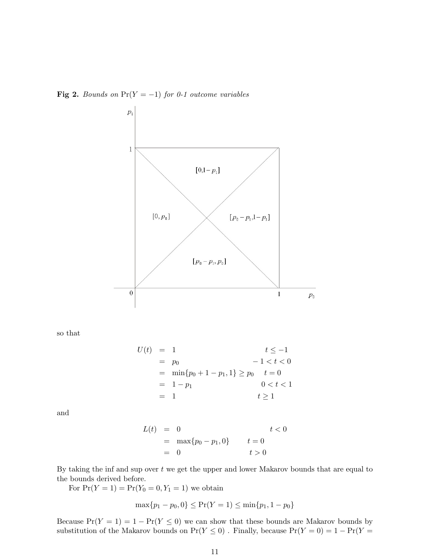Fig 2. Bounds on  $Pr(Y = -1)$  for 0-1 outcome variables



so that

$$
U(t) = 1 \t t \le -1
$$
  
=  $p_0$  -1 < t < 0  
=  $\min\{p_0 + 1 - p_1, 1\} \ge p_0$  t = 0  
= 1 - p<sub>1</sub> 0 < t < 1  
= 1 t \ge 1

and

$$
L(t) = 0 \t\t\t t < 0
$$
  
= max{ $p_0 - p_1, 0$ } \t\t\t $t = 0$   
= 0 \t\t\t $t > 0$ 

By taking the inf and sup over  $t$  we get the upper and lower Makarov bounds that are equal to the bounds derived before.

For  $Pr(Y = 1) = Pr(Y_0 = 0, Y_1 = 1)$  we obtain

$$
\max\{p_1 - p_0, 0\} \le \Pr(Y = 1) \le \min\{p_1, 1 - p_0\}
$$

Because  $Pr(Y = 1) = 1 - Pr(Y \le 0)$  we can show that these bounds are Makarov bounds by substitution of the Makarov bounds on  $\Pr(Y\leq 0)$  . Finally, because  $\Pr(Y=0)=1-\Pr(Y=0)$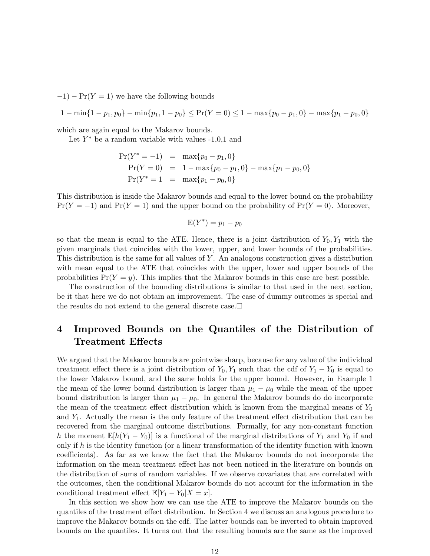$-1$ ) – Pr(Y = 1) we have the following bounds

$$
1 - \min\{1 - p_1, p_0\} - \min\{p_1, 1 - p_0\} \le \Pr(Y = 0) \le 1 - \max\{p_0 - p_1, 0\} - \max\{p_1 - p_0, 0\}
$$

which are again equal to the Makarov bounds.

Let  $Y^*$  be a random variable with values  $-1,0,1$  and

$$
Pr(Y^* = -1) = max{p_0 - p_1, 0}
$$
  
\n
$$
Pr(Y = 0) = 1 - max{p_0 - p_1, 0} - max{p_1 - p_0, 0}
$$
  
\n
$$
Pr(Y^* = 1) = max{p_1 - p_0, 0}
$$

This distribution is inside the Makarov bounds and equal to the lower bound on the probability  $Pr(Y = -1)$  and  $Pr(Y = 1)$  and the upper bound on the probability of  $Pr(Y = 0)$ . Moreover,

$$
E(Y^*) = p_1 - p_0
$$

so that the mean is equal to the ATE. Hence, there is a joint distribution of  $Y_0, Y_1$  with the given marginals that coincides with the lower, upper, and lower bounds of the probabilities. This distribution is the same for all values of Y . An analogous construction gives a distribution with mean equal to the ATE that coincides with the upper, lower and upper bounds of the probabilities  $Pr(Y = y)$ . This implies that the Makarov bounds in this case are best possible.

The construction of the bounding distributions is similar to that used in the next section, be it that here we do not obtain an improvement. The case of dummy outcomes is special and the results do not extend to the general discrete case.

# 4 Improved Bounds on the Quantiles of the Distribution of Treatment Effects

We argued that the Makarov bounds are pointwise sharp, because for any value of the individual treatment effect there is a joint distribution of  $Y_0, Y_1$  such that the cdf of  $Y_1 - Y_0$  is equal to the lower Makarov bound, and the same holds for the upper bound. However, in Example 1 the mean of the lower bound distribution is larger than  $\mu_1 - \mu_0$  while the mean of the upper bound distribution is larger than  $\mu_1 - \mu_0$ . In general the Makarov bounds do do incorporate the mean of the treatment effect distribution which is known from the marginal means of  $Y_0$ and  $Y_1$ . Actually the mean is the only feature of the treatment effect distribution that can be recovered from the marginal outcome distributions. Formally, for any non-constant function h the moment  $\mathbb{E}[h(Y_1 - Y_0)]$  is a functional of the marginal distributions of  $Y_1$  and  $Y_0$  if and only if  $h$  is the identity function (or a linear transformation of the identity function with known coefficients). As far as we know the fact that the Makarov bounds do not incorporate the information on the mean treatment effect has not been noticed in the literature on bounds on the distribution of sums of random variables. If we observe covariates that are correlated with the outcomes, then the conditional Makarov bounds do not account for the information in the conditional treatment effect  $\mathbb{E}[Y_1 - Y_0|X=x]$ .

In this section we show how we can use the ATE to improve the Makarov bounds on the quantiles of the treatment effect distribution. In Section 4 we discuss an analogous procedure to improve the Makarov bounds on the cdf. The latter bounds can be inverted to obtain improved bounds on the quantiles. It turns out that the resulting bounds are the same as the improved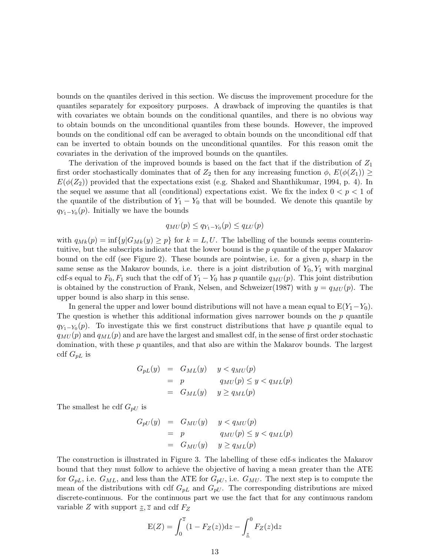bounds on the quantiles derived in this section. We discuss the improvement procedure for the quantiles separately for expository purposes. A drawback of improving the quantiles is that with covariates we obtain bounds on the conditional quantiles, and there is no obvious way to obtain bounds on the unconditional quantiles from these bounds. However, the improved bounds on the conditional cdf can be averaged to obtain bounds on the unconditional cdf that can be inverted to obtain bounds on the unconditional quantiles. For this reason omit the covariates in the derivation of the improved bounds on the quantiles.

The derivation of the improved bounds is based on the fact that if the distribution of  $Z_1$ first order stochastically dominates that of  $Z_2$  then for any increasing function  $\phi$ ,  $E(\phi(Z_1)) \ge$  $E(\phi(Z_2))$  provided that the expectations exist (e.g. Shaked and Shanthikumar, 1994, p. 4). In the sequel we assume that all (conditional) expectations exist. We fix the index  $0 < p < 1$  of the quantile of the distribution of  $Y_1 - Y_0$  that will be bounded. We denote this quantile by  $q_{Y_1-Y_0}(p)$ . Initially we have the bounds

$$
q_{MU}(p) \leq q_{Y_1 - Y_0}(p) \leq q_{LU}(p)
$$

with  $q_{Mk}(p) = \inf \{y | G_{Mk}(y) \geq p\}$  for  $k = L, U$ . The labelling of the bounds seems counterintuitive, but the subscripts indicate that the lower bound is the  $p$  quantile of the upper Makarov bound on the cdf (see Figure 2). These bounds are pointwise, i.e. for a given  $p$ , sharp in the same sense as the Makarov bounds, i.e. there is a joint distribution of  $Y_0, Y_1$  with marginal cdf-s equal to  $F_0, F_1$  such that the cdf of  $Y_1 - Y_0$  has p quantile  $q_{MU}(p)$ . This joint distribution is obtained by the construction of Frank, Nelsen, and Schweizer(1987) with  $y = q_{MU}(p)$ . The upper bound is also sharp in this sense.

In general the upper and lower bound distributions will not have a mean equal to  $E(Y_1-Y_0)$ . The question is whether this additional information gives narrower bounds on the  $p$  quantile  $q_{Y_1-Y_0}(p)$ . To investigate this we first construct distributions that have p quantile equal to  $q_{MU}(p)$  and  $q_{ML}(p)$  and are have the largest and smallest cdf, in the sense of first order stochastic domination, with these  $p$  quantiles, and that also are within the Makarov bounds. The largest cdf  $G_{pL}$  is

$$
G_{pL}(y) = G_{ML}(y) \t y < q_{MU}(p)
$$
  
= p \t q\_{MU}(p) \le y < q\_{ML}(p)  
= G\_{ML}(y) \t y \ge q\_{ML}(p)

The smallest he cdf  $G_{pU}$  is

$$
G_{pU}(y) = G_{MU}(y) \t y < q_{MU}(p)
$$
  
= p \t q\_{MU}(p) \le y < q\_{ML}(p)  
= G\_{MU}(y) \t y \ge q\_{ML}(p)

The construction is illustrated in Figure 3. The labelling of these cdf-s indicates the Makarov bound that they must follow to achieve the objective of having a mean greater than the ATE for  $G_{pL}$ , i.e.  $G_{ML}$ , and less than the ATE for  $G_{pU}$ , i.e.  $G_{MU}$ . The next step is to compute the mean of the distributions with cdf  $G_{pL}$  and  $G_{pU}$ . The corresponding distributions are mixed discrete-continuous. For the continuous part we use the fact that for any continuous random variable Z with support  $z, \overline{z}$  and cdf  $F_Z$ 

$$
E(Z) = \int_0^{\overline{z}} (1 - F_Z(z)) dz - \int_{\underline{z}}^0 F_Z(z) dz
$$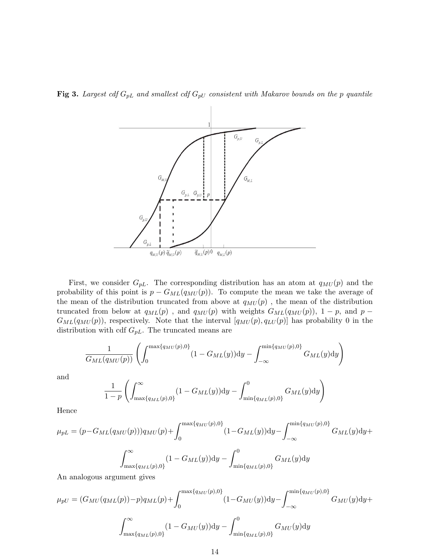

**Fig 3.** Largest cdf  $G_{pL}$  and smallest cdf  $G_{pU}$  consistent with Makarov bounds on the p quantile

First, we consider  $G_{pL}$ . The corresponding distribution has an atom at  $q_{MU}(p)$  and the probability of this point is  $p - G_{ML}(q_{MU}(p))$ . To compute the mean we take the average of the mean of the distribution truncated from above at  $q_{MU}(p)$ , the mean of the distribution truncated from below at  $q_{ML}(p)$ , and  $q_{MU}(p)$  with weights  $G_{ML}(q_{MU}(p))$ , 1 – p, and p –  $G_{ML}(q_{MU}(p))$ , respectively. Note that the interval  $[q_{MU}(p), q_{LU}(p)]$  has probability 0 in the distribution with cdf  $G_{pL}$ . The truncated means are

$$
\frac{1}{G_{ML}(q_{MU}(p))} \left( \int_0^{\max\{q_{MU}(p),0\}} (1 - G_{ML}(y)) dy - \int_{-\infty}^{\min\{q_{MU}(p),0\}} G_{ML}(y) dy \right)
$$

and

$$
\frac{1}{1-p} \left( \int_{\max\{q_{ML}(p),0\}}^{\infty} (1 - G_{ML}(y)) dy - \int_{\min\{q_{ML}(p),0\}}^{0} G_{ML}(y) dy \right)
$$

Hence

$$
\mu_{pL} = (p - G_{ML}(q_{MU}(p)))q_{MU}(p) + \int_0^{\max\{q_{MU}(p), 0\}} (1 - G_{ML}(y))dy - \int_{-\infty}^{\min\{q_{MU}(p), 0\}} G_{ML}(y)dy +
$$

$$
\int_{\max\{q_{ML}(p), 0\}}^{\infty} (1 - G_{ML}(y))dy - \int_{\min\{q_{ML}(p), 0\}}^{0} G_{ML}(y)dy
$$

An analogous argument gives

$$
\mu_{pU} = (G_{MU}(q_{ML}(p)) - p)q_{ML}(p) + \int_0^{\max\{q_{MU}(p), 0\}} (1 - G_{MU}(y)) dy - \int_{-\infty}^{\min\{q_{MU}(p), 0\}} G_{MU}(y) dy + \int_{\max\{q_{ML}(p), 0\}}^{\infty} (1 - G_{MU}(y)) dy - \int_{\min\{q_{ML}(p), 0\}}^0 G_{MU}(y) dy
$$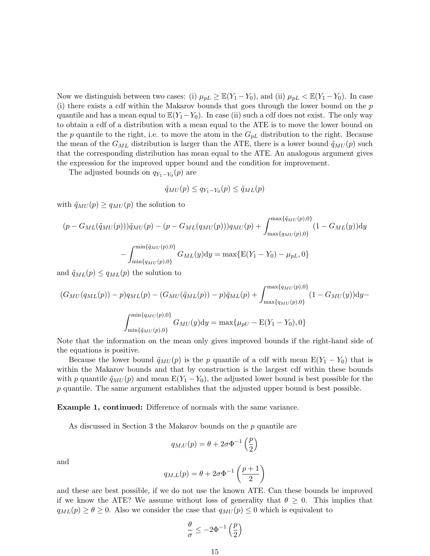Now we distinguish between two cases: (i)  $\mu_{pL} \geq \mathbb{E}(Y_1 - Y_0)$ , and (ii)  $\mu_{pL} < \mathbb{E}(Y_1 - Y_0)$ . In case (i) there exists a cdf within the Makarov bounds that goes through the lower bound on the  $p$ quantile and has a mean equal to  $\mathbb{E}(Y_1-Y_0)$ . In case (ii) such a cdf does not exist. The only way to obtain a cdf of a distribution with a mean equal to the ATE is to move the lower bound on the p quantile to the right, i.e. to move the atom in the  $G_{pL}$  distribution to the right. Because the mean of the  $G_{ML}$  distribution is larger than the ATE, there is a lower bound  $\tilde{q}_{MU}(p)$  such that the corresponding distribution has mean equal to the ATE. An analogous argument gives the expression for the improved upper bound and the condition for improvement.

The adjusted bounds on  $q_{Y_1-Y_0}(p)$  are

$$
\tilde{q}_{MU}(p) \le q_{Y_1 - Y_0}(p) \le \tilde{q}_{ML}(p)
$$

with  $\tilde{q}_{MU}(p) \geq q_{MU}(p)$  the solution to

$$
(p - G_{ML}(\tilde{q}_{MU}(p)))\tilde{q}_{MU}(p) - (p - G_{ML}(q_{MU}(p)))q_{MU}(p) + \int_{\max\{q_{MU}(p), 0\}}^{\max\{\tilde{q}_{MU}(p), 0\}} (1 - G_{ML}(y))dy - \int_{\min\{q_{MU}(p), 0\}}^{\min\{\tilde{q}_{MU}(p), 0\}} G_{ML}(y)dy = \max\{E(Y_1 - Y_0) - \mu_{pL}, 0\}
$$

and  $\tilde{q}_{ML}(p) \leq q_{ML}(p)$  the solution to

$$
(G_{MU}(q_{ML}(p)) - p)q_{ML}(p) - (G_{MU}(\tilde{q}_{ML}(p)) - p)\tilde{q}_{ML}(p) + \int_{\max\{q_{MU}(p), 0\}}^{\max\{q_{MU}(p), 0\}} (1 - G_{MU}(y)) dy - \int_{\min\{\tilde{q}_{MU}(p), 0\}}^{\min\{q_{MU}(p), 0\}} G_{MU}(y) dy = \max\{\mu_{pU} - E(Y_1 - Y_0), 0\}
$$

Note that the information on the mean only gives improved bounds if the right-hand side of the equations is positive.

Because the lower bound  $\tilde{q}_{MU}(p)$  is the p quantile of a cdf with mean  $E(Y_1 - Y_0)$  that is within the Makarov bounds and that by construction is the largest cdf within these bounds with p quantile  $\tilde{q}_{MU}(p)$  and mean  $E(Y_1 - Y_0)$ , the adjusted lower bound is best possible for the p quantile. The same argument establishes that the adjusted upper bound is best possible.

Example 1, continued: Difference of normals with the same variance.

As discussed in Section 3 the Makarov bounds on the p quantile are

$$
q_{M,U}(p) = \theta + 2\sigma\Phi^{-1}\left(\frac{p}{2}\right)
$$

and

$$
q_{M,L}(p) = \theta + 2\sigma \Phi^{-1}\left(\frac{p+1}{2}\right)
$$

and these are best possible, if we do not use the known ATE. Can these bounds be improved if we know the ATE? We assume without loss of generality that  $\theta \geq 0$ . This implies that  $q_{ML}(p) \geq \theta \geq 0$ . Also we consider the case that  $q_{MU}(p) \leq 0$  which is equivalent to

$$
\frac{\theta}{\sigma} \leq -2\Phi^{-1}\left(\frac{p}{2}\right)
$$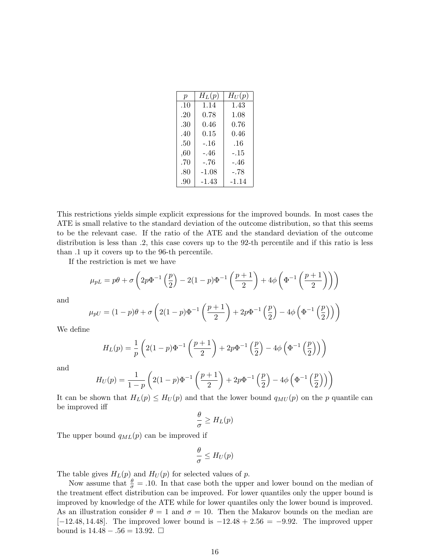| $\boldsymbol{p}$ | $H_L(p)$ | $H_U(p)$ |
|------------------|----------|----------|
| .10              | 1.14     | 1.43     |
| .20              | 0.78     | 1.08     |
| .30              | 0.46     | 0.76     |
| .40              | 0.15     | 0.46     |
| .50              | $-.16$   | .16      |
| ,60              | -.46     | -.15     |
| .70              | $-.76$   | -.46     |
| .80              | $-1.08$  | -.78     |
| .90              | -1.43    | $-1.14$  |

This restrictions yields simple explicit expressions for the improved bounds. In most cases the ATE is small relative to the standard deviation of the outcome distribution, so that this seems to be the relevant case. If the ratio of the ATE and the standard deviation of the outcome distribution is less than .2, this case covers up to the 92-th percentile and if this ratio is less than .1 up it covers up to the 96-th percentile.

If the restriction is met we have

$$
\mu_{pL} = p\theta + \sigma \left( 2p\Phi^{-1} \left( \frac{p}{2} \right) - 2(1-p)\Phi^{-1} \left( \frac{p+1}{2} \right) + 4\phi \left( \Phi^{-1} \left( \frac{p+1}{2} \right) \right) \right)
$$

and

$$
\mu_{pU} = (1-p)\theta + \sigma \left(2(1-p)\Phi^{-1}\left(\frac{p+1}{2}\right) + 2p\Phi^{-1}\left(\frac{p}{2}\right) - 4\phi\left(\Phi^{-1}\left(\frac{p}{2}\right)\right)\right)
$$

We define

$$
H_L(p) = \frac{1}{p} \left( 2(1-p)\Phi^{-1} \left( \frac{p+1}{2} \right) + 2p\Phi^{-1} \left( \frac{p}{2} \right) - 4\phi \left( \Phi^{-1} \left( \frac{p}{2} \right) \right) \right)
$$

and

$$
H_U(p) = \frac{1}{1-p} \left( 2(1-p) \Phi^{-1} \left( \frac{p+1}{2} \right) + 2p \Phi^{-1} \left( \frac{p}{2} \right) - 4\phi \left( \Phi^{-1} \left( \frac{p}{2} \right) \right) \right)
$$

It can be shown that  $H_L(p) \leq H_U(p)$  and that the lower bound  $q_{MU}(p)$  on the p quantile can be improved iff

$$
\frac{\theta}{\sigma} \geq H_L(p)
$$

The upper bound  $q_{ML}(p)$  can be improved if

$$
\frac{\theta}{\sigma} \leq H_U(p)
$$

The table gives  $H_L(p)$  and  $H_U(p)$  for selected values of p.

Now assume that  $\frac{\theta}{\sigma} = .10$ . In that case both the upper and lower bound on the median of the treatment effect distribution can be improved. For lower quantiles only the upper bound is improved by knowledge of the ATE while for lower quantiles only the lower bound is improved. As an illustration consider  $\theta = 1$  and  $\sigma = 10$ . Then the Makarov bounds on the median are  $[-12.48, 14.48]$ . The improved lower bound is  $-12.48 + 2.56 = -9.92$ . The improved upper bound is  $14.48 - 0.56 = 13.92$ . □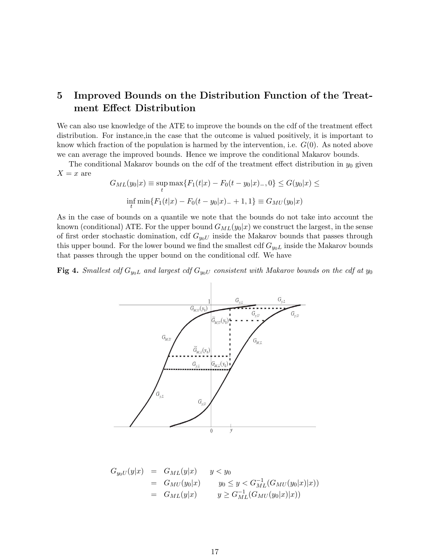# 5 Improved Bounds on the Distribution Function of the Treatment Effect Distribution

We can also use knowledge of the ATE to improve the bounds on the cdf of the treatment effect distribution. For instance,in the case that the outcome is valued positively, it is important to know which fraction of the population is harmed by the intervention, i.e.  $G(0)$ . As noted above we can average the improved bounds. Hence we improve the conditional Makarov bounds.

The conditional Makarov bounds on the cdf of the treatment effect distribution in  $y_0$  given  $X = x$  are

$$
G_{ML}(y_0|x) \equiv \sup_t \max\{F_1(t|x) - F_0(t - y_0|x) - 0\} \le G(y_0|x) \le
$$
  

$$
\inf_t \min\{F_1(t|x) - F_0(t - y_0|x) - 1, 1\} \equiv G_{MU}(y_0|x)
$$

As in the case of bounds on a quantile we note that the bounds do not take into account the known (conditional) ATE. For the upper bound  $G_{ML}(y_0|x)$  we construct the largest, in the sense of first order stochastic domination, cdf  $G_{y_0U}$  inside the Makarov bounds that passes through this upper bound. For the lower bound we find the smallest cdf  $G_{y0L}$  inside the Makarov bounds that passes through the upper bound on the conditional cdf. We have

Fig 4. Smallest cdf  $G_{y_0L}$  and largest cdf  $G_{y_0U}$  consistent with Makarov bounds on the cdf at  $y_0$ 

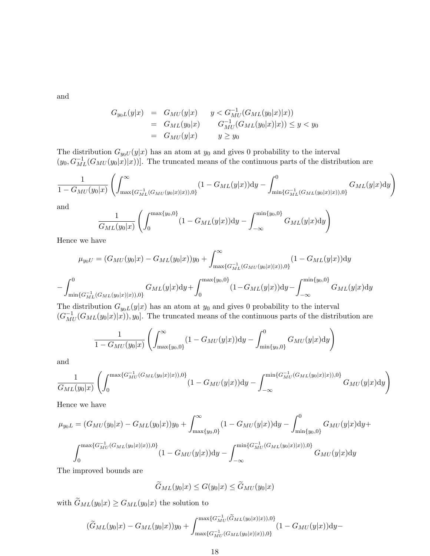and

$$
G_{y_0L}(y|x) = G_{MU}(y|x) \t y < G_{MU}^{-1}(G_{ML}(y_0|x)|x))
$$
  
=  $G_{ML}(y_0|x) \t G_{MU}^{-1}(G_{ML}(y_0|x)|x)) \le y < y_0$   
=  $G_{MU}(y|x) \t y \ge y_0$ 

The distribution  $G_{y_0U}(y|x)$  has an atom at  $y_0$  and gives 0 probability to the interval  $(y_0, G_{ML}^{-1}(G_{ML}(y_0|x)|x))$ . The truncated means of the continuous parts of the distribution are

$$
\frac{1}{1 - G_{MU}(y_0|x)} \left( \int_{\max\{G_{ML}^{-1}(G_{MU}(y_0|x)|x)),0\}}^{ \infty} (1 - G_{ML}(y|x)) dy - \int_{\min\{G_{ML}^{-1}(G_{ML}(y_0|x)|x)),0\}}^{ 0} G_{ML}(y|x) dy \right)
$$

and

$$
\frac{1}{G_{ML}(y_0|x)} \left( \int_0^{\max\{y_0,0\}} (1 - G_{ML}(y|x)) dy - \int_{-\infty}^{\min\{y_0,0\}} G_{ML}(y|x) dy \right)
$$

Hence we have

$$
\mu_{y_0U} = (G_{MU}(y_0|x) - G_{ML}(y_0|x))y_0 + \int_{\max\{G_{ML}^{-1}(G_{MU}(y_0|x)|x)), 0\}}^{\infty} (1 - G_{ML}(y|x))dy
$$

$$
- \int_{\min\{G_{ML}^{-1}(G_{ML}(y_0|x)|x)), 0\}}^{0} G_{ML}(y|x)dy + \int_{0}^{\max\{y_0, 0\}} (1 - G_{ML}(y|x))dy - \int_{-\infty}^{\min\{y_0, 0\}} G_{ML}(y|x)dy
$$

$$
\int_{\min\{G_{ML}^{-1}(G_{ML}(y_0|x)|x)),0\}} \int_0^{x=x_0+y_0} \int_{-\infty}^{x=x_0+y_0} \int_{-\infty}^{x=x_0+y_0} \int_{-\infty}^{x=x_0+y_0} \int_{-\infty}^{x=x_0+y_0} \int_{-\infty}^{x=x_0+y_0} \int_{-\infty}^{x=x_0+y_0} \int_{-\infty}^{x=x_0+y_0} \int_{-\infty}^{x=x_0+y_0} \int_{-\infty}^{x=x_0+y_0} \int_{-\infty}^{x=x_0+y_0} \int_{-\infty}^{x=x_0+y_0} \int_{-\infty}^{x=x_0+y_0} \int_{-\infty}^{x=x_0+y_0} \int_{-\infty}^{x=x_0+y_0} \int_{-\infty}^{x=x_0+y_0} \int_{-\infty}^{x=x_0+y_0} \int_{-\infty}^{x=x_0+y_0} \int_{-\infty}^{x=x_0+y_0} \int_{-\infty}^{x=x_0+y_0} \int_{-\infty}^{x=x_0+y_0} \int_{-\infty}^{x=x_0+y_0} \int_{-\infty}^{x=x_0+y_0} \int_{-\infty}^{x=x_0+y_0} \int_{-\infty}^{x=x_0+y_0} \int_{-\infty}^{x=x_0+y_0} \int_{-\infty}^{x=x_0+y_0} \int_{-\infty}^{x=x_0+y_0} \int_{-\infty}^{x=x_0+y_0} \int_{-\infty}^{x=x_0+y_0} \int_{-\infty}^{x=x_0+y_0} \int_{-\infty}^{x=x_0+y_0} \int_{-\infty}^{x=x_0+y_0} \int_{-\infty}^{x=x_0+y_0} \int_{-\infty}^{x=x_0+y_0} \int_{-\infty}^{x=x_0+y_0} \int_{-\infty}^{x=x_0+y_0} \int_{-\infty}^{x=x_0+y_0} \int_{-\infty}^{x=x_0+y_0} \int_{-\infty}^{x=x_0+y_0} \int_{-\infty}^{x=x_0+y_0} \int_{-\infty}^{x=x_0+y_0} \int_{-\infty}^{x=x_0+y_0} \int_{-\infty}^{x=x_0+y_0} \int_{-\infty}^{x=x_0+y_0} \int_{-\infty}^{x=x_0+y_0
$$

$$
\frac{1}{1-G_{MU}(y_0|x)} \left( \int_{\max\{y_0,0\}}^{\infty} (1-G_{MU}(y|x)) \mathrm{d}y - \int_{\min\{y_0,0\}}^{0} G_{MU}(y|x) \mathrm{d}y \right)
$$

and

$$
\frac{1}{G_{ML}(y_0|x)}\left(\int_{0}^{\max\{G_{MU}^{-1}(G_{ML}(y_0|x)|x)),0\}}(1-G_{MU}(y|x))\mathrm{d}y-\int_{-\infty}^{\min\{G_{MU}^{-1}(G_{ML}(y_0|x)|x)),0\}}G_{MU}(y|x)\mathrm{d}y\right)
$$

Hence we have

$$
\mu_{y_0L} = (G_{MU}(y_0|x) - G_{ML}(y_0|x))y_0 + \int_{\max\{y_0, 0\}}^{\infty} (1 - G_{MU}(y|x))dy - \int_{\min\{y_0, 0\}}^{0} G_{MU}(y|x)dy +
$$

$$
\int_{0}^{\max\{G_{MU}^{-1}(G_{ML}(y_0|x)|x)), 0\}} (1 - G_{MU}(y|x))dy - \int_{-\infty}^{\min\{G_{MU}^{-1}(G_{ML}(y_0|x)|x)), 0\}} G_{MU}(y|x)dy
$$

The improved bounds are

$$
\widetilde{G}_{ML}(y_0|x) \le G(y_0|x) \le \widetilde{G}_{MU}(y_0|x)
$$
\n  
\n(b) the solution to\n
$$
\max\{G_{MU}^{-1}(\widetilde{G}_{ML}(y_0|x)|x)), 0\}
$$

with  $\widetilde{G}_{ML}(y_0|x) \geq G_{ML}(y_0|x)$  the solution to

$$
\left(\widetilde{G}_{ML}(y_0|x) - G_{ML}(y_0|x)\right)y_0 + \int_{\max\{G_{MU}^{-1}(G_{ML}(y_0|x)|x)\},0\}}^{\max\{G_{ML}^{-1}(\widetilde{G}_{ML}(y_0|x)|x)\},0\}} (1 - G_{MU}(y|x))\mathrm{d}y -
$$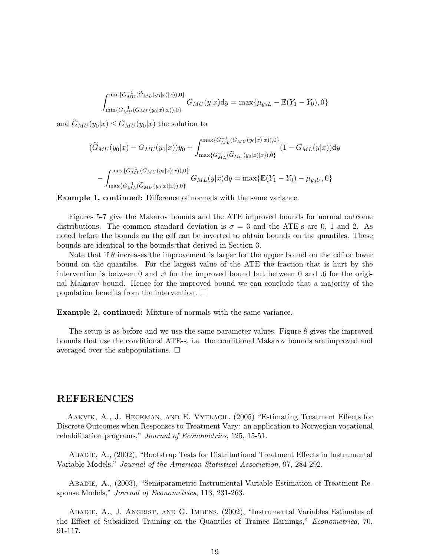$$
\int_{\min\{G_{MU}^{-1}(G_{ML}(y_0|x)|x)),0\}}^{\min\{G_{MU}^{-1}(\widetilde{G}_{ML}(y_0|x)|x)),0\}} G_{MU}(y|x) dy = \max\{\mu_{y_0L} - \mathbb{E}(Y_1 - Y_0),0\}
$$

and  $\widetilde{G}_{MU}(y_0|x) \leq G_{MU}(y_0|x)$  the solution to

$$
(y_0|x) \le G_{MU}(y_0|x) \text{ the solution to}
$$
  
\n
$$
(\widetilde{G}_{MU}(y_0|x) - G_{MU}(y_0|x))y_0 + \int_{\max\{G_{ML}^{-1}(\widetilde{G}_{MU}(y_0|x)|x)),0\}}^{\max\{G_{ML}^{-1}(G_{MU}(y_0|x)|x)),0\}} (1 - G_{ML}(y|x))dy
$$
  
\n
$$
- \int_{\max\{G_{ML}^{-1}(\widetilde{G}_{MU}(y_0|x)|x)),0\}}^{\max\{G_{ML}^{-1}(G_{MU}(y_0|x)|x)),0\}} G_{ML}(y|x)dy = \max\{\mathbb{E}(Y_1 - Y_0) - \mu_{y_0U}, 0\}
$$

Example 1, continued: Difference of normals with the same variance.

Figures 5-7 give the Makarov bounds and the ATE improved bounds for normal outcome distributions. The common standard deviation is  $\sigma = 3$  and the ATE-s are 0, 1 and 2. As noted before the bounds on the cdf can be inverted to obtain bounds on the quantiles. These bounds are identical to the bounds that derived in Section 3.

Note that if  $\theta$  increases the improvement is larger for the upper bound on the cdf or lower bound on the quantiles. For the largest value of the ATE the fraction that is hurt by the intervention is between 0 and .4 for the improved bound but between 0 and .6 for the original Makarov bound. Hence for the improved bound we can conclude that a majority of the population benefits from the intervention.  $\Box$ 

Example 2, continued: Mixture of normals with the same variance.

The setup is as before and we use the same parameter values. Figure 8 gives the improved bounds that use the conditional ATE-s, i.e. the conditional Makarov bounds are improved and averaged over the subpopulations.  $\Box$ 

### REFERENCES

Aakvik, A., J. Heckman, and E. Vytlacil, (2005) "Estimating Treatment Effects for Discrete Outcomes when Responses to Treatment Vary: an application to Norwegian vocational rehabilitation programs," *Journal of Econometrics*, 125, 15-51.

Abadie, A., (2002), "Bootstrap Tests for Distributional Treatment Effects in Instrumental Variable Models," Journal of the American Statistical Association, 97, 284-292.

Abadie, A., (2003), "Semiparametric Instrumental Variable Estimation of Treatment Response Models," Journal of Econometrics, 113, 231-263.

Abadie, A., J. Angrist, and G. Imbens, (2002), "Instrumental Variables Estimates of the Effect of Subsidized Training on the Quantiles of Trainee Earnings," Econometrica, 70, 91-117.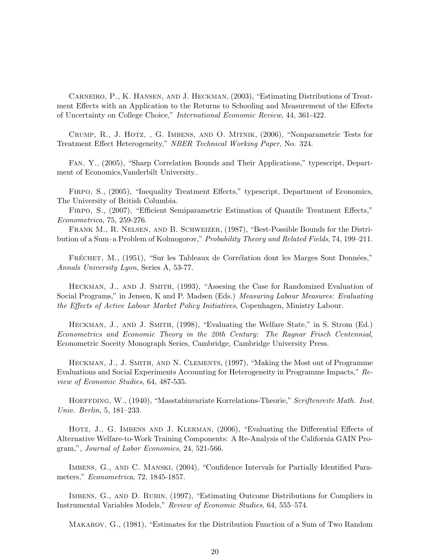Carneiro, P., K. Hansen, and J. Heckman, (2003), "Estimating Distributions of Treatment Effects with an Application to the Returns to Schooling and Measurement of the Effects of Uncertainty on College Choice," International Economic Review, 44, 361-422.

Crump, R., J. Hotz, , G. Imbens, and O. Mitnik, (2006), "Nonparametric Tests for Treatment Effect Heterogeneity," NBER Technical Working Paper, No. 324.

Fan, Y., (2005), "Sharp Correlation Bounds and Their Applications," typescript, Department of Economics,Vanderbilt University..

Firpo, S., (2005), "Inequality Treatment Effects," typescript, Department of Economics, The University of British Columbia.

Firpo, S., (2007), "Efficient Semiparametric Estimation of Quantile Treatment Effects," Econometrica, 75, 259-276.

FRANK M., R. NELSEN, AND B. SCHWEIZER, (1987), "Best-Possible Bounds for the Distribution of a Sum–a Problem of Kolmogorov," Probability Theory and Related Fields, 74, 199–211.

FRÉCHET, M., (1951), "Sur les Tableaux de Corrélation dont les Marges Sont Données," Annals University Lyon, Series A, 53-77.

Heckman, J., and J. Smith, (1993), "Assesing the Case for Randomized Evaluation of Social Programs," in Jensen, K and P. Madsen (Eds.) Measuring Labour Measures: Evaluating the Effects of Active Labour Market Policy Initiatives, Copenhagen, Ministry Labour.

Heckman, J., and J. Smith, (1998), "Evaluating the Welfare State," in S. Strom (Ed.) Econometrics and Economic Theory in the 20th Century: The Ragnar Frisch Centennial, Econometric Soceity Monograph Series, Cambridge, Cambridge University Press.

Heckman, J., J. Smith, and N. Clements, (1997), "Making the Most out of Programme Evaluations and Social Experiments Accounting for Heterogeneity in Programme Impacts," Review of Economic Studies, 64, 487-535.

HOEFFDING, W., (1940), "Masstabinvariate Korrelations-Theorie," Scriftenreite Math. Inst. Univ. Berlin, 5, 181–233.

HOTZ, J., G. IMBENS AND J. KLERMAN, (2006), "Evaluating the Differential Effects of Alternative Welfare-to-Work Training Components: A Re-Analysis of the California GAIN Program,", Journal of Labor Economics, 24, 521-566.

Imbens, G., and C. Manski, (2004), "Confidence Intervals for Partially Identified Parameters," Econometrica, 72, 1845-1857.

Imbens, G., and D. Rubin, (1997), "Estimating Outcome Distributions for Compliers in Instrumental Variables Models," Review of Economic Studies, 64, 555–574.

Makarov, G., (1981), "Estimates for the Distribution Function of a Sum of Two Random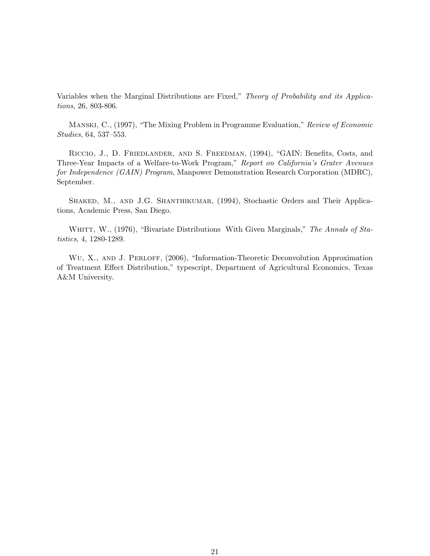Variables when the Marginal Distributions are Fixed," Theory of Probability and its Applications, 26, 803-806.

Manski, C., (1997), "The Mixing Problem in Programme Evaluation," Review of Economic Studies, 64, 537–553.

Riccio, J., D. Friedlander, and S. Freedman, (1994), "GAIN: Benefits, Costs, and Three-Year Impacts of a Welfare-to-Work Program," Report on California's Grater Avenues for Independence (GAIN) Program, Manpower Demonstration Research Corporation (MDRC), September.

SHAKED, M., AND J.G. SHANTHIKUMAR, (1994), Stochastic Orders and Their Applications, Academic Press, San Diego.

WHITT, W., (1976), "Bivariate Distributions With Given Marginals," The Annals of Statistics, 4, 1280-1289.

WU, X., AND J. PERLOFF, (2006), "Information-Theoretic Deconvolution Approximation of Treatment Effect Distribution," typescript, Department of Agricultural Economics, Texas A&M University.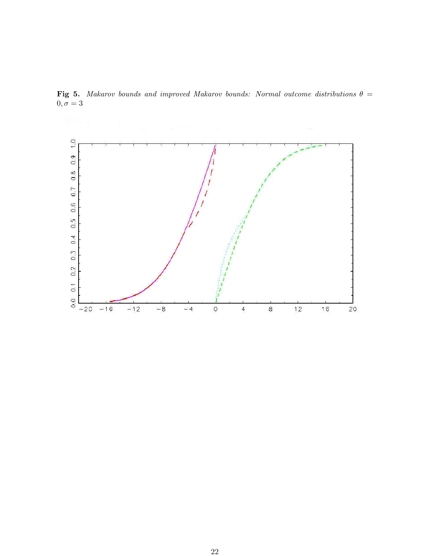

Fig 5. Makarov bounds and improved Makarov bounds: Normal outcome distributions  $\theta =$  $0, \sigma = 3$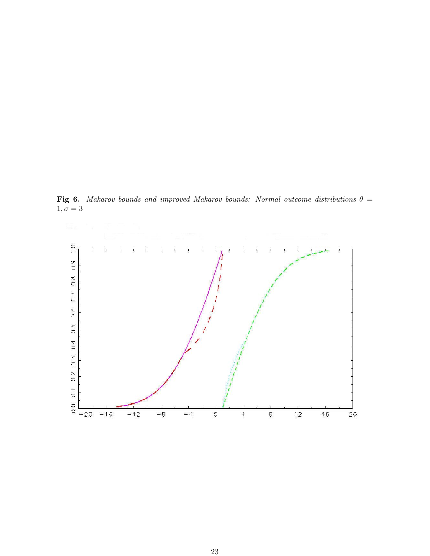Fig 6. Makarov bounds and improved Makarov bounds: Normal outcome distributions  $\theta =$  $1, \sigma = 3$ 

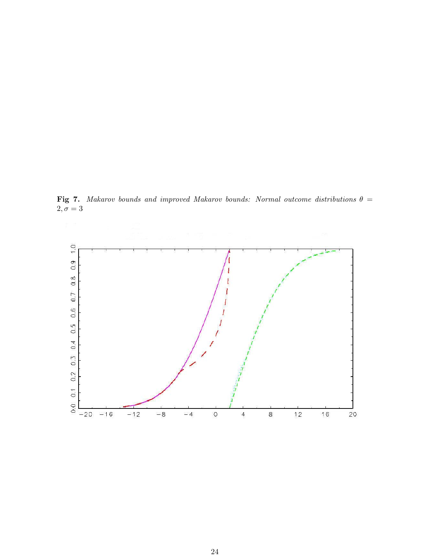Fig 7. Makarov bounds and improved Makarov bounds: Normal outcome distributions  $\theta =$  $2, \sigma = 3$